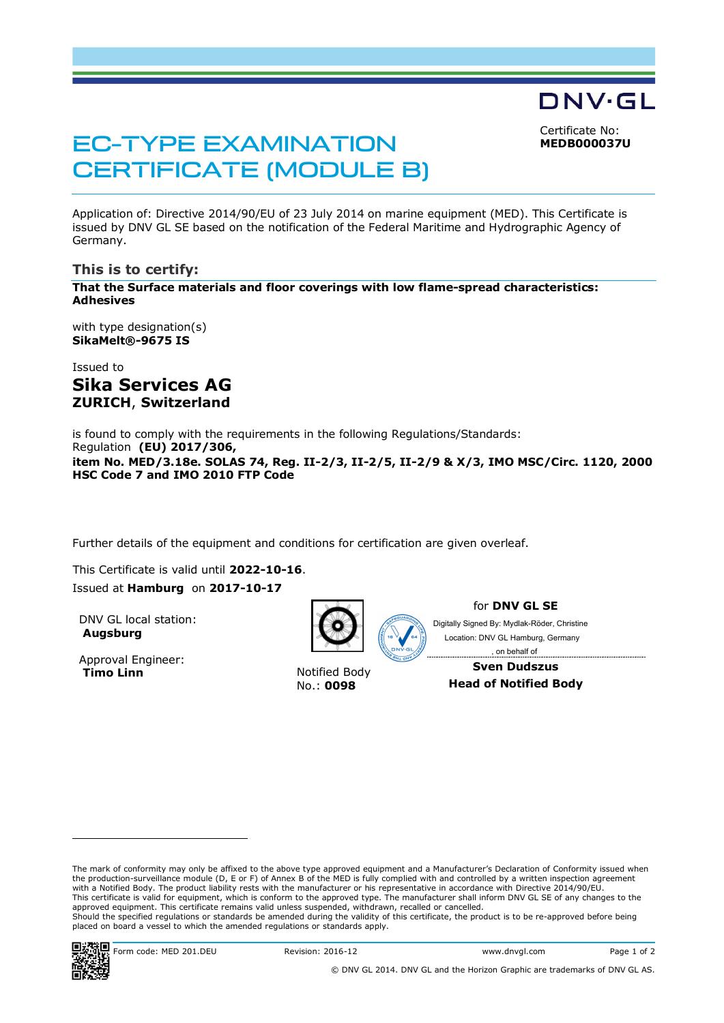Certificate No: **MEDB000037U**

DNV·GL

# EC-TYPE EXAMINATION CERTIFICATE (MODULE B)

Application of: Directive 2014/90/EU of 23 July 2014 on marine equipment (MED). This Certificate is issued by DNV GL SE based on the notification of the Federal Maritime and Hydrographic Agency of Germany.

# **This is to certify:**

**That the Surface materials and floor coverings with low flame-spread characteristics: Adhesives**

with type designation(s) **SikaMelt®-9675 IS**

Issued to **Sika Services AG ZURICH**, **Switzerland**

is found to comply with the requirements in the following Regulations/Standards: Regulation **(EU) 2017/306, item No. MED/3.18e. SOLAS 74, Reg. II-2/3, II-2/5, II-2/9 & X/3, IMO MSC/Circ. 1120, 2000 HSC Code 7 and IMO 2010 FTP Code**

Further details of the equipment and conditions for certification are given overleaf.

This Certificate is valid until **2022-10-16**. Issued at **Hamburg** on **2017-10-17**

DNV GL local station: **Augsburg**

Approval Engineer:<br>Timo Linn



**Notified Body** No.: **0098**

for **DNV GL SE**

Digitally Signed By: Mydlak-Röder, Christine Location: DNV GL Hamburg, Germany , on behalf of

> **Sven Dudszus Head of Notified Body**

-------------------------------------

The mark of conformity may only be affixed to the above type approved equipment and a Manufacturer's Declaration of Conformity issued when the production-surveillance module (D, E or F) of Annex B of the MED is fully complied with and controlled by a written inspection agreement with a Notified Body. The product liability rests with the manufacturer or his representative in accordance with Directive 2014/90/EU. This certificate is valid for equipment, which is conform to the approved type. The manufacturer shall inform DNV GL SE of any changes to the approved equipment. This certificate remains valid unless suspended, withdrawn, recalled or cancelled. Should the specified regulations or standards be amended during the validity of this certificate, the product is to be re-approved before being placed on board a vessel to which the amended regulations or standards apply.